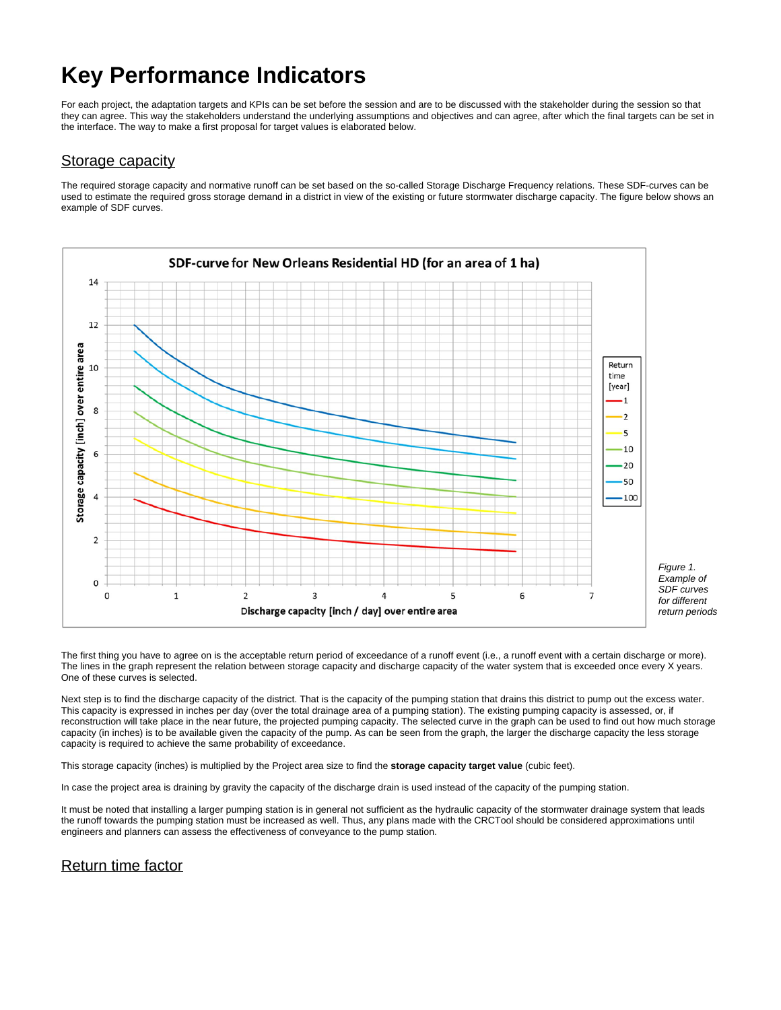# **Key Performance Indicators**

For each project, the adaptation targets and KPIs can be set before the session and are to be discussed with the stakeholder during the session so that they can agree. This way the stakeholders understand the underlying assumptions and objectives and can agree, after which the final targets can be set in the interface. The way to make a first proposal for target values is elaborated below.

## Storage capacity

The required storage capacity and normative runoff can be set based on the so-called Storage Discharge Frequency relations. These SDF-curves can be used to estimate the required gross storage demand in a district in view of the existing or future stormwater discharge capacity. The figure below shows an example of SDF curves.



The first thing you have to agree on is the acceptable return period of exceedance of a runoff event (i.e., a runoff event with a certain discharge or more). The lines in the graph represent the relation between storage capacity and discharge capacity of the water system that is exceeded once every X years. One of these curves is selected.

Next step is to find the discharge capacity of the district. That is the capacity of the pumping station that drains this district to pump out the excess water. This capacity is expressed in inches per day (over the total drainage area of a pumping station). The existing pumping capacity is assessed, or, if reconstruction will take place in the near future, the projected pumping capacity. The selected curve in the graph can be used to find out how much storage capacity (in inches) is to be available given the capacity of the pump. As can be seen from the graph, the larger the discharge capacity the less storage capacity is required to achieve the same probability of exceedance.

This storage capacity (inches) is multiplied by the Project area size to find the **storage capacity target value** (cubic feet).

In case the project area is draining by gravity the capacity of the discharge drain is used instead of the capacity of the pumping station.

It must be noted that installing a larger pumping station is in general not sufficient as the hydraulic capacity of the stormwater drainage system that leads the runoff towards the pumping station must be increased as well. Thus, any plans made with the CRCTool should be considered approximations until engineers and planners can assess the effectiveness of conveyance to the pump station.

## Return time factor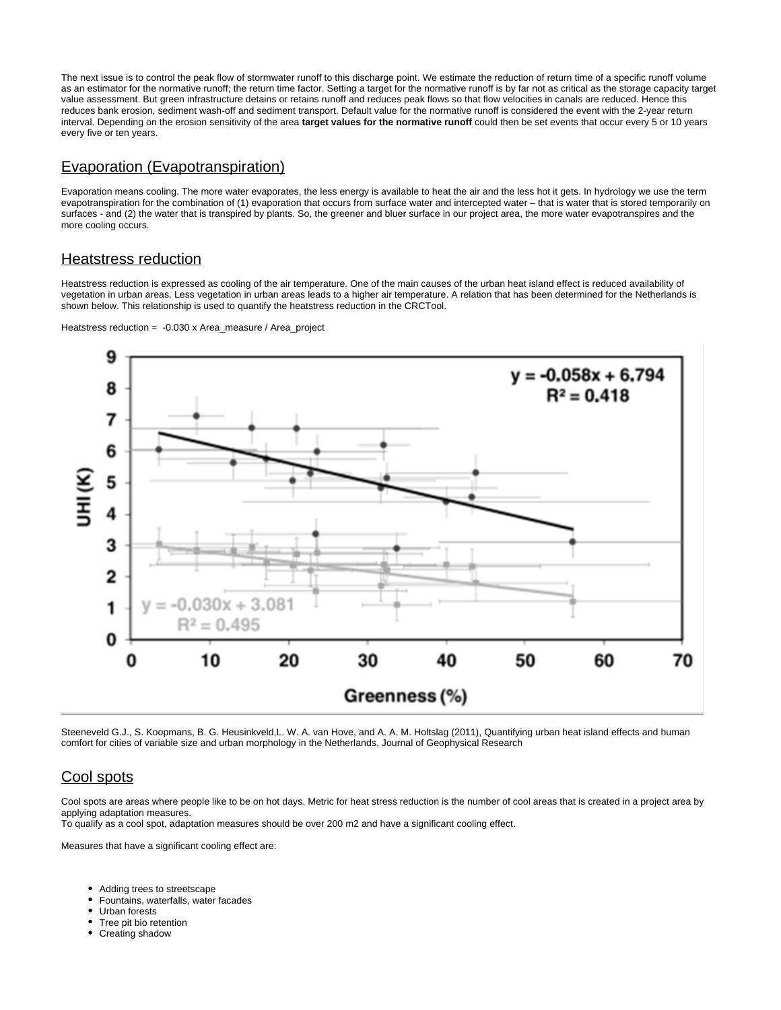The next issue is to control the peak flow of stormwater runoff to this discharge point. We estimate the reduction of return time of a specific runoff volume as an estimator for the normative runoff; the return time factor. Setting a target for the normative runoff is by far not as critical as the storage capacity target value assessment. But green infrastructure detains or retains runoff and reduces peak flows so that flow velocities in canals are reduced. Hence this reduces bank erosion, sediment wash-off and sediment transport. Default value for the normative runoff is considered the event with the 2-year return interval. Depending on the erosion sensitivity of the area **target values for the normative runoff** could then be set events that occur every 5 or 10 years every five or ten years.

#### Evaporation (Evapotranspiration)

Evaporation means cooling. The more water evaporates, the less energy is available to heat the air and the less hot it gets. In hydrology we use the term evapotranspiration for the combination of (1) evaporation that occurs from surface water and intercepted water – that is water that is stored temporarily on surfaces - and (2) the water that is transpired by plants. So, the greener and bluer surface in our project area, the more water evapotranspires and the more cooling occurs.

## Heatstress reduction

Heatstress reduction is expressed as cooling of the air temperature. One of the main causes of the urban heat island effect is reduced availability of vegetation in urban areas. Less vegetation in urban areas leads to a higher air temperature. A relation that has been determined for the Netherlands is shown below. This relationship is used to quantify the heatstress reduction in the CRCTool.



Heatstress reduction = -0.030 x Area\_measure / Area\_project



Steeneveld G.J., S. Koopmans, B. G. Heusinkveld,L. W. A. van Hove, and A. A. M. Holtslag (2011), Quantifying urban heat island effects and human comfort for cities of variable size and urban morphology in the Netherlands, Journal of Geophysical Research

# Cool spots

Cool spots are areas where people like to be on hot days. Metric for heat stress reduction is the number of cool areas that is created in a project area by applying adaptation measures.

To qualify as a cool spot, adaptation measures should be over 200 m2 and have a significant cooling effect.

Measures that have a significant cooling effect are:

- Adding trees to streetscape
- Fountains, waterfalls, water facades
- Urban forests
- Tree pit bio retention
- Creating shadow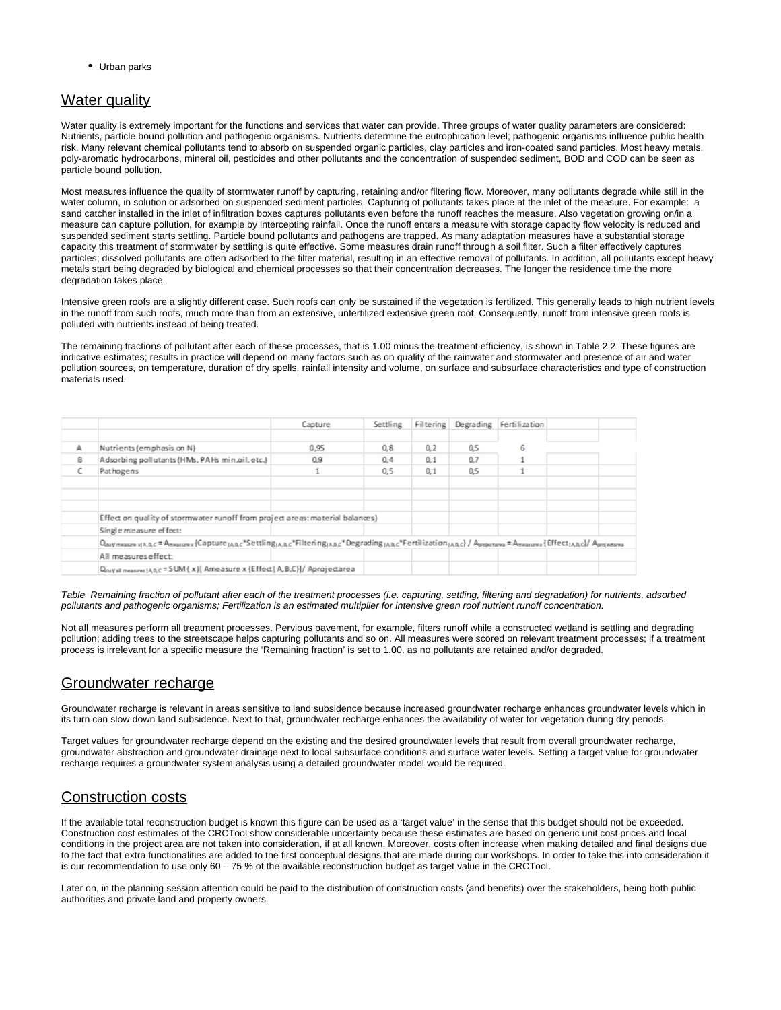• Urban parks

## Water quality

Water quality is extremely important for the functions and services that water can provide. Three groups of water quality parameters are considered: Nutrients, particle bound pollution and pathogenic organisms. Nutrients determine the eutrophication level; pathogenic organisms influence public health risk. Many relevant chemical pollutants tend to absorb on suspended organic particles, clay particles and iron-coated sand particles. Most heavy metals, poly-aromatic hydrocarbons, mineral oil, pesticides and other pollutants and the concentration of suspended sediment, BOD and COD can be seen as particle bound pollution.

Most measures influence the quality of stormwater runoff by capturing, retaining and/or filtering flow. Moreover, many pollutants degrade while still in the water column, in solution or adsorbed on suspended sediment particles. Capturing of pollutants takes place at the inlet of the measure. For example: a sand catcher installed in the inlet of infiltration boxes captures pollutants even before the runoff reaches the measure. Also vegetation growing on/in a measure can capture pollution, for example by intercepting rainfall. Once the runoff enters a measure with storage capacity flow velocity is reduced and suspended sediment starts settling. Particle bound pollutants and pathogens are trapped. As many adaptation measures have a substantial storage capacity this treatment of stormwater by settling is quite effective. Some measures drain runoff through a soil filter. Such a filter effectively captures particles; dissolved pollutants are often adsorbed to the filter material, resulting in an effective removal of pollutants. In addition, all pollutants except heavy metals start being degraded by biological and chemical processes so that their concentration decreases. The longer the residence time the more degradation takes place.

Intensive green roofs are a slightly different case. Such roofs can only be sustained if the vegetation is fertilized. This generally leads to high nutrient levels in the runoff from such roofs, much more than from an extensive, unfertilized extensive green roof. Consequently, runoff from intensive green roofs is polluted with nutrients instead of being treated.

The remaining fractions of pollutant after each of these processes, that is 1.00 minus the treatment efficiency, is shown in Table 2.2. These figures are indicative estimates; results in practice will depend on many factors such as on quality of the rainwater and stormwater and presence of air and water pollution sources, on temperature, duration of dry spells, rainfall intensity and volume, on surface and subsurface characteristics and type of construction materials used.

|   |                                                                                                                                                                                                                                              | Capture | Settling |     |     | Filtering Degrading Fertilization |  |
|---|----------------------------------------------------------------------------------------------------------------------------------------------------------------------------------------------------------------------------------------------|---------|----------|-----|-----|-----------------------------------|--|
|   |                                                                                                                                                                                                                                              |         |          |     |     |                                   |  |
| А | Nutrients (emphasis on N)                                                                                                                                                                                                                    | 0.95    | 0.8      | 0.2 | 0.5 | 6                                 |  |
| ß | Adsorbing pollutants (HMs, PAHs min.oil, etc.)                                                                                                                                                                                               | 0.9     | 0.4      | 0.1 | 0.7 |                                   |  |
|   | Pathogens                                                                                                                                                                                                                                    |         | 0.5      | 0.1 | 0.5 |                                   |  |
|   |                                                                                                                                                                                                                                              |         |          |     |     |                                   |  |
|   |                                                                                                                                                                                                                                              |         |          |     |     |                                   |  |
|   |                                                                                                                                                                                                                                              |         |          |     |     |                                   |  |
|   | Effect on quality of stormwater runoff from project areas: material balances)                                                                                                                                                                |         |          |     |     |                                   |  |
|   | Single measure effect:                                                                                                                                                                                                                       |         |          |     |     |                                   |  |
|   | Qouymeasure xjA,B,C = Ameasure x {Capture <sub>jABC</sub> *Settling <sub>jA,BC</sub> *Filtering <sub>jABC</sub> *Degrading <sub>jABC</sub> *Fertilization <sub>jABC</sub> }/Aprojectarea = Ameasure x {Effect <sub>jABC</sub> }/Aprojectarea |         |          |     |     |                                   |  |
|   | All measures effect:                                                                                                                                                                                                                         |         |          |     |     |                                   |  |
|   | Q <sub>out/all</sub> measures   A.B.C = SUM (x) [Ameasure x {Effect   A, B, C}]/ Aprojectarea                                                                                                                                                |         |          |     |     |                                   |  |

Table Remaining fraction of pollutant after each of the treatment processes (i.e. capturing, settling, filtering and degradation) for nutrients, adsorbed pollutants and pathogenic organisms; Fertilization is an estimated multiplier for intensive green roof nutrient runoff concentration.

Not all measures perform all treatment processes. Pervious pavement, for example, filters runoff while a constructed wetland is settling and degrading pollution; adding trees to the streetscape helps capturing pollutants and so on. All measures were scored on relevant treatment processes; if a treatment process is irrelevant for a specific measure the 'Remaining fraction' is set to 1.00, as no pollutants are retained and/or degraded.

## Groundwater recharge

Groundwater recharge is relevant in areas sensitive to land subsidence because increased groundwater recharge enhances groundwater levels which in its turn can slow down land subsidence. Next to that, groundwater recharge enhances the availability of water for vegetation during dry periods.

Target values for groundwater recharge depend on the existing and the desired groundwater levels that result from overall groundwater recharge, groundwater abstraction and groundwater drainage next to local subsurface conditions and surface water levels. Setting a target value for groundwater recharge requires a groundwater system analysis using a detailed groundwater model would be required.

# Construction costs

If the available total reconstruction budget is known this figure can be used as a 'target value' in the sense that this budget should not be exceeded. Construction cost estimates of the CRCTool show considerable uncertainty because these estimates are based on generic unit cost prices and local conditions in the project area are not taken into consideration, if at all known. Moreover, costs often increase when making detailed and final designs due to the fact that extra functionalities are added to the first conceptual designs that are made during our workshops. In order to take this into consideration it is our recommendation to use only 60 – 75 % of the available reconstruction budget as target value in the CRCTool.

Later on, in the planning session attention could be paid to the distribution of construction costs (and benefits) over the stakeholders, being both public authorities and private land and property owners.